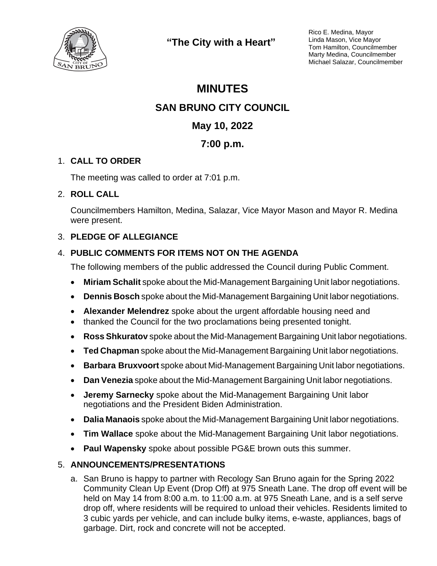

**"The City with a Heart"**

Rico E. Medina, Mayor Linda Mason, Vice Mayor Tom Hamilton, Councilmember Marty Medina, Councilmember Michael Salazar, Councilmember

# **MINUTES SAN BRUNO CITY COUNCIL May 10, 2022 7:00 p.m.**

# 1. **CALL TO ORDER**

The meeting was called to order at 7:01 p.m.

## 2. **ROLL CALL**

Councilmembers Hamilton, Medina, Salazar, Vice Mayor Mason and Mayor R. Medina were present.

# 3. **PLEDGE OF ALLEGIANCE**

# 4. **PUBLIC COMMENTS FOR ITEMS NOT ON THE AGENDA**

The following members of the public addressed the Council during Public Comment.

- **Miriam Schalit** spoke about the Mid-Management Bargaining Unit labor negotiations.
- **Dennis Bosch** spoke about the Mid-Management Bargaining Unit labor negotiations.
- **Alexander Melendrez** spoke about the urgent affordable housing need and
- thanked the Council for the two proclamations being presented tonight.
- **Ross Shkuratov** spoke about the Mid-Management Bargaining Unit labor negotiations.
- **Ted Chapman** spoke about the Mid-Management Bargaining Unit labor negotiations.
- **Barbara Bruxvoort** spoke about Mid-Management Bargaining Unit labor negotiations.
- **Dan Venezia** spoke about the Mid-Management Bargaining Unit labor negotiations.
- **Jeremy Sarnecky** spoke about the Mid-Management Bargaining Unit labor negotiations and the President Biden Administration.
- **Dalia Manaois** spoke about the Mid-Management Bargaining Unit labor negotiations.
- **Tim Wallace** spoke about the Mid-Management Bargaining Unit labor negotiations.
- **Paul Wapensky** spoke about possible PG&E brown outs this summer.

## 5. **ANNOUNCEMENTS/PRESENTATIONS**

a. San Bruno is happy to partner with Recology San Bruno again for the Spring 2022 Community Clean Up Event (Drop Off) at 975 Sneath Lane. The drop off event will be held on May 14 from 8:00 a.m. to 11:00 a.m. at 975 Sneath Lane, and is a self serve drop off, where residents will be required to unload their vehicles. Residents limited to 3 cubic yards per vehicle, and can include bulky items, e-waste, appliances, bags of garbage. Dirt, rock and concrete will not be accepted.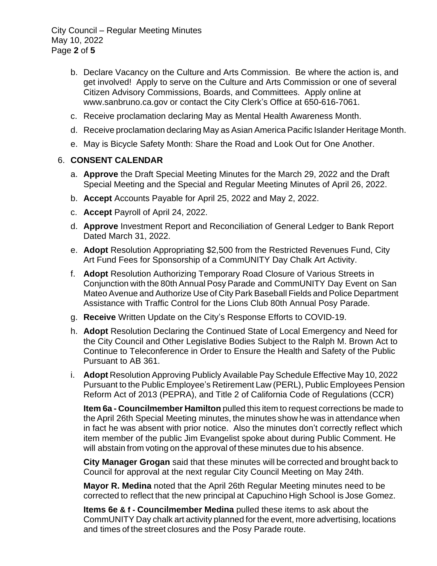City Council – Regular Meeting Minutes May 10, 2022 Page **2** of **5**

- b. Declare Vacancy on the Culture and Arts Commission. Be where the action is, and get involved! Apply to serve on the Culture and Arts Commission or one of several Citizen Advisory Commissions, Boards, and Committees. Apply online at www.sanbruno.ca.gov or contact the City Clerk's Office at 650-616-7061.
- c. Receive proclamation declaring May as Mental Health Awareness Month.
- d. Receive proclamation declaring May as Asian America Pacific Islander Heritage Month.
- e. May is Bicycle Safety Month: Share the Road and Look Out for One Another.

#### 6. **CONSENT CALENDAR**

- a. **Approve** the Draft Special Meeting Minutes for the March 29, 2022 and the Draft Special Meeting and the Special and Regular Meeting Minutes of April 26, 2022.
- b. **Accept** Accounts Payable for April 25, 2022 and May 2, 2022.
- c. **Accept** Payroll of April 24, 2022.
- d. **Approve** Investment Report and Reconciliation of General Ledger to Bank Report Dated March 31, 2022.
- e. **Adopt** Resolution Appropriating \$2,500 from the Restricted Revenues Fund, City Art Fund Fees for Sponsorship of a CommUNITY Day Chalk Art Activity.
- f. **Adopt** Resolution Authorizing Temporary Road Closure of Various Streets in Conjunction with the 80th Annual Posy Parade and CommUNITY Day Event on San Mateo Avenue and Authorize Use of City Park Baseball Fields and Police Department Assistance with Traffic Control for the Lions Club 80th Annual Posy Parade.
- g. **Receive** Written Update on the City's Response Efforts to COVID-19.
- h. **Adopt** Resolution Declaring the Continued State of Local Emergency and Need for the City Council and Other Legislative Bodies Subject to the Ralph M. Brown Act to Continue to Teleconference in Order to Ensure the Health and Safety of the Public Pursuant to AB 361.
- i. **Adopt** Resolution Approving Publicly Available Pay Schedule Effective May 10, 2022 Pursuant to the Public Employee's Retirement Law (PERL), Public Employees Pension Reform Act of 2013 (PEPRA), and Title 2 of California Code of Regulations (CCR)

**Item 6a - Councilmember Hamilton** pulled this item to request corrections be made to the April 26th Special Meeting minutes, the minutes show he was in attendance when in fact he was absent with prior notice. Also the minutes don't correctly reflect which item member of the public Jim Evangelist spoke about during Public Comment. He will abstain from voting on the approval of these minutes due to his absence.

**City Manager Grogan** said that these minutes will be corrected and brought back to Council for approval at the next regular City Council Meeting on May 24th.

**Mayor R. Medina** noted that the April 26th Regular Meeting minutes need to be corrected to reflect that the new principal at Capuchino High School is Jose Gomez.

**Items 6e & f - Councilmember Medina** pulled these items to ask about the CommUNITY Day chalk art activity planned for the event, more advertising, locations and times of the street closures and the Posy Parade route.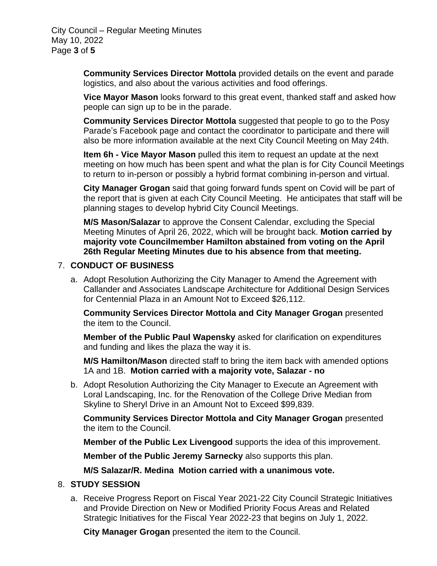City Council – Regular Meeting Minutes May 10, 2022 Page **3** of **5**

> **Community Services Director Mottola** provided details on the event and parade logistics, and also about the various activities and food offerings.

> **Vice Mayor Mason** looks forward to this great event, thanked staff and asked how people can sign up to be in the parade.

**Community Services Director Mottola** suggested that people to go to the Posy Parade's Facebook page and contact the coordinator to participate and there will also be more information available at the next City Council Meeting on May 24th.

**Item 6h - Vice Mayor Mason** pulled this item to request an update at the next meeting on how much has been spent and what the plan is for City Council Meetings to return to in-person or possibly a hybrid format combining in-person and virtual.

**City Manager Grogan** said that going forward funds spent on Covid will be part of the report that is given at each City Council Meeting. He anticipates that staff will be planning stages to develop hybrid City Council Meetings.

**M/S Mason/Salazar** to approve the Consent Calendar, excluding the Special Meeting Minutes of April 26, 2022, which will be brought back. **Motion carried by majority vote Councilmember Hamilton abstained from voting on the April 26th Regular Meeting Minutes due to his absence from that meeting.**

#### 7. **CONDUCT OF BUSINESS**

a. Adopt Resolution Authorizing the City Manager to Amend the Agreement with Callander and Associates Landscape Architecture for Additional Design Services for Centennial Plaza in an Amount Not to Exceed \$26,112.

**Community Services Director Mottola and City Manager Grogan** presented the item to the Council.

**Member of the Public Paul Wapensky** asked for clarification on expenditures and funding and likes the plaza the way it is.

**M/S Hamilton/Mason** directed staff to bring the item back with amended options 1A and 1B. **Motion carried with a majority vote, Salazar - no**

b. Adopt Resolution Authorizing the City Manager to Execute an Agreement with Loral Landscaping, Inc. for the Renovation of the College Drive Median from Skyline to Sheryl Drive in an Amount Not to Exceed \$99,839.

**Community Services Director Mottola and City Manager Grogan** presented the item to the Council.

**Member of the Public Lex Livengood** supports the idea of this improvement.

**Member of the Public Jeremy Sarnecky** also supports this plan.

**M/S Salazar/R. Medina Motion carried with a unanimous vote.**

#### 8. **STUDY SESSION**

a. Receive Progress Report on Fiscal Year 2021-22 City Council Strategic Initiatives and Provide Direction on New or Modified Priority Focus Areas and Related Strategic Initiatives for the Fiscal Year 2022-23 that begins on July 1, 2022.

**City Manager Grogan** presented the item to the Council.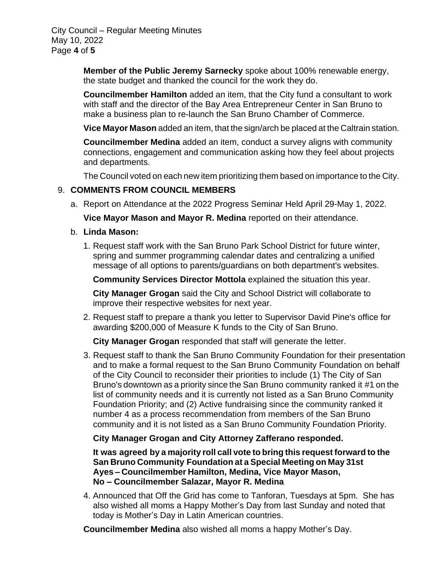City Council – Regular Meeting Minutes May 10, 2022 Page **4** of **5**

> **Member of the Public Jeremy Sarnecky** spoke about 100% renewable energy, the state budget and thanked the council for the work they do.

**Councilmember Hamilton** added an item, that the City fund a consultant to work with staff and the director of the Bay Area Entrepreneur Center in San Bruno to make a business plan to re-launch the San Bruno Chamber of Commerce.

**Vice Mayor Mason** added an item, that the sign/arch be placed at the Caltrain station.

**Councilmember Medina** added an item, conduct a survey aligns with community connections, engagement and communication asking how they feel about projects and departments.

The Council voted on each new item prioritizing them based on importance to the City.

## 9. **COMMENTS FROM COUNCIL MEMBERS**

a. Report on Attendance at the 2022 Progress Seminar Held April 29-May 1, 2022.

**Vice Mayor Mason and Mayor R. Medina** reported on their attendance.

- b. **Linda Mason:**
	- 1. Request staff work with the San Bruno Park School District for future winter, spring and summer programming calendar dates and centralizing a unified message of all options to parents/guardians on both department's websites.

**Community Services Director Mottola** explained the situation this year.

**City Manager Grogan** said the City and School District will collaborate to improve their respective websites for next year.

2. Request staff to prepare a thank you letter to Supervisor David Pine's office for awarding \$200,000 of Measure K funds to the City of San Bruno.

**City Manager Grogan** responded that staff will generate the letter.

3. Request staff to thank the San Bruno Community Foundation for their presentation and to make a formal request to the San Bruno Community Foundation on behalf of the City Council to reconsider their priorities to include (1) The City of San Bruno's downtown as a priority since the San Bruno community ranked it #1 on the list of community needs and it is currently not listed as a San Bruno Community Foundation Priority; and (2) Active fundraising since the community ranked it number 4 as a process recommendation from members of the San Bruno community and it is not listed as a San Bruno Community Foundation Priority.

## **City Manager Grogan and City Attorney Zafferano responded.**

**It was agreed by a majority roll call vote to bring this request forward to the San Bruno Community Foundation at a Special Meeting on May 31st Ayes – Councilmember Hamilton, Medina, Vice Mayor Mason, No – Councilmember Salazar, Mayor R. Medina**

4. Announced that Off the Grid has come to Tanforan, Tuesdays at 5pm. She has also wished all moms a Happy Mother's Day from last Sunday and noted that today is Mother's Day in Latin American countries.

**Councilmember Medina** also wished all moms a happy Mother's Day.